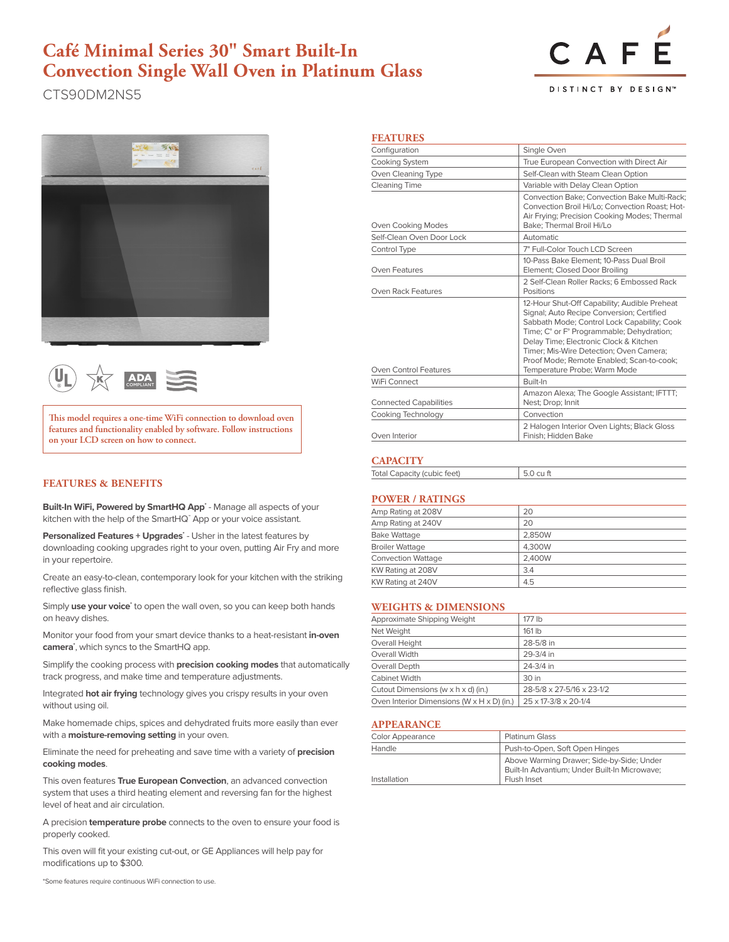## **Café Minimal Series 30" Smart Built-In Convection Single Wall Oven in Platinum Glass**

CTS90DM2NS5

# CAF

DISTINCT BY DESIGN<sup>®</sup>





**This model requires a one-time WiFi connection to download oven features and functionality enabled by software. Follow instructions on your LCD screen on how to connect.**

## **FEATURES & BENEFITS**

Built-In WiFi, Powered by SmartHQ App<sup>\*</sup> - Manage all aspects of your kitchen with the help of the SmartHQ™ App or your voice assistant.

Personalized Features + Upgrades<sup>\*</sup> - Usher in the latest features by downloading cooking upgrades right to your oven, putting Air Fry and more in your repertoire.

Create an easy-to-clean, contemporary look for your kitchen with the striking reflective glass finish.

Simply use your voice<sup>\*</sup> to open the wall oven, so you can keep both hands on heavy dishes.

Monitor your food from your smart device thanks to a heat-resistant **in-oven camera\*** , which syncs to the SmartHQ app.

Simplify the cooking process with **precision cooking modes** that automatically track progress, and make time and temperature adjustments.

Integrated **hot air frying** technology gives you crispy results in your oven without using oil.

Make homemade chips, spices and dehydrated fruits more easily than ever with a **moisture-removing setting** in your oven.

Eliminate the need for preheating and save time with a variety of **precision cooking modes**.

This oven features **True European Convection**, an advanced convection system that uses a third heating element and reversing fan for the highest level of heat and air circulation.

A precision **temperature probe** connects to the oven to ensure your food is properly cooked.

This oven will fit your existing cut-out, or GE Appliances will help pay for modifications up to \$300.

\*Some features require continuous WiFi connection to use.

## **FEATURES**

| Configuration                 | Single Oven                                                                                                                                                                                                                                                                                                                                             |  |  |
|-------------------------------|---------------------------------------------------------------------------------------------------------------------------------------------------------------------------------------------------------------------------------------------------------------------------------------------------------------------------------------------------------|--|--|
| Cooking System                | True European Convection with Direct Air                                                                                                                                                                                                                                                                                                                |  |  |
| Oven Cleaning Type            | Self-Clean with Steam Clean Option                                                                                                                                                                                                                                                                                                                      |  |  |
| Cleaning Time                 | Variable with Delay Clean Option<br>Convection Bake; Convection Bake Multi-Rack;<br>Convection Broil Hi/Lo: Convection Roast: Hot-<br>Air Frying; Precision Cooking Modes; Thermal<br>Bake; Thermal Broil Hi/Lo                                                                                                                                         |  |  |
| Oven Cooking Modes            |                                                                                                                                                                                                                                                                                                                                                         |  |  |
| Self-Clean Oven Door Lock     | Automatic                                                                                                                                                                                                                                                                                                                                               |  |  |
| Control Type                  | 7" Full-Color Touch LCD Screen                                                                                                                                                                                                                                                                                                                          |  |  |
| <b>Oven Features</b>          | 10-Pass Bake Element: 10-Pass Dual Broil<br>Element; Closed Door Broiling                                                                                                                                                                                                                                                                               |  |  |
| Oven Rack Features            | 2 Self-Clean Roller Racks; 6 Embossed Rack<br>Positions                                                                                                                                                                                                                                                                                                 |  |  |
| Oven Control Features         | 12-Hour Shut-Off Capability; Audible Preheat<br>Signal; Auto Recipe Conversion; Certified<br>Sabbath Mode; Control Lock Capability; Cook<br>Time; C° or F° Programmable; Dehydration;<br>Delay Time; Electronic Clock & Kitchen<br>Timer: Mis-Wire Detection: Oven Camera:<br>Proof Mode; Remote Enabled; Scan-to-cook;<br>Temperature Probe; Warm Mode |  |  |
| WiFi Connect                  | Ruilt-In                                                                                                                                                                                                                                                                                                                                                |  |  |
| <b>Connected Capabilities</b> | Amazon Alexa; The Google Assistant; IFTTT;<br>Nest; Drop; Innit                                                                                                                                                                                                                                                                                         |  |  |
| Cooking Technology            | Convection                                                                                                                                                                                                                                                                                                                                              |  |  |
| Oven Interior                 | 2 Halogen Interior Oven Lights; Black Gloss<br>Finish; Hidden Bake                                                                                                                                                                                                                                                                                      |  |  |

#### **CAPACITY**

| <b>Total Capacity (cubic feet)</b> | $500$ CIIT |
|------------------------------------|------------|
|                                    |            |

#### **POWER / RATINGS**

| Amp Rating at 208V        | 20     |
|---------------------------|--------|
| Amp Rating at 240V        | 20     |
| <b>Bake Wattage</b>       | 2.850W |
| <b>Broiler Wattage</b>    | 4.300W |
| <b>Convection Wattage</b> | 2.400W |
| KW Rating at 208V         | 3.4    |
| KW Rating at 240V         | 4.5    |
|                           |        |

## **WEIGHTS & DIMENSIONS**

| Approximate Shipping Weight                              | 177 lb                    |
|----------------------------------------------------------|---------------------------|
| Net Weight                                               | $161$ lb                  |
| Overall Height                                           | 28-5/8 in                 |
| Overall Width                                            | 29-3/4 in                 |
| Overall Depth                                            | 24-3/4 in                 |
| Cabinet Width                                            | 30 in                     |
| Cutout Dimensions (w x h x d) (in.)                      | 28-5/8 x 27-5/16 x 23-1/2 |
| Oven Interior Dimensions (W $\times$ H $\times$ D) (in.) | 25 x 17-3/8 x 20-1/4      |

## **APPEARANCE**

| Color Appearance | <b>Platinum Glass</b>                                                                                     |
|------------------|-----------------------------------------------------------------------------------------------------------|
| Handle           | Push-to-Open, Soft Open Hinges                                                                            |
| Installation     | Above Warming Drawer; Side-by-Side; Under<br>Built-In Advantium; Under Built-In Microwave;<br>Flush Inset |
|                  |                                                                                                           |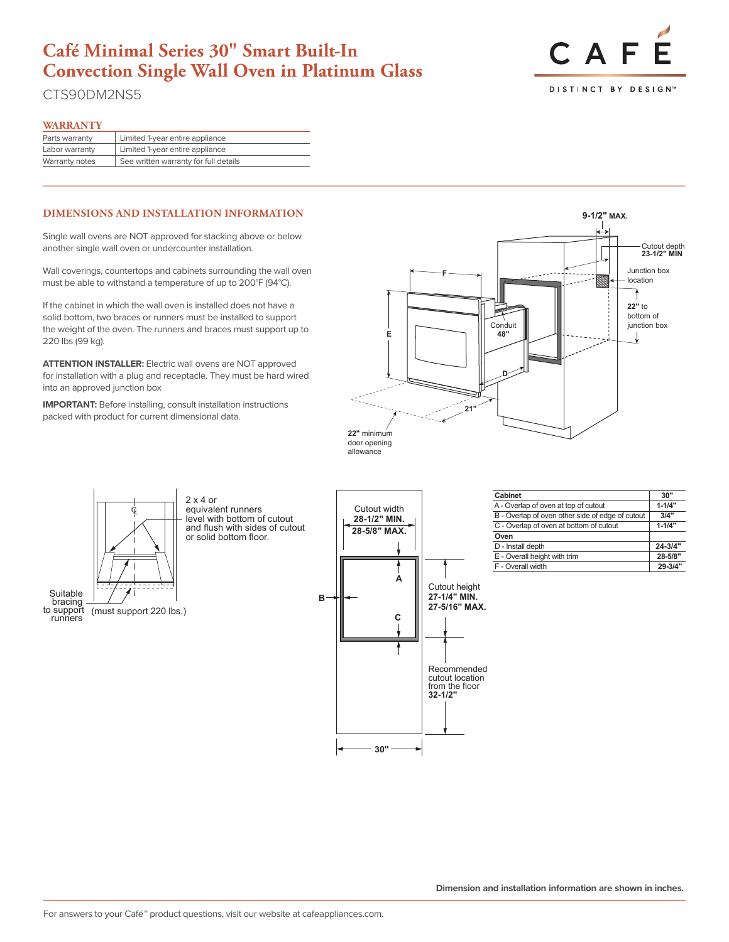## **Café Minimal Series 30" Smart Built-In Convection Single Wall Oven in Platinum Glass**

**9-1/2" MAX.**

CTS90DM2NS5

## CAF DISTINCT BY DESIGN<sup>®</sup>

### **WARRANTY**

| .                                     |  |
|---------------------------------------|--|
| Limited 1-year entire appliance       |  |
| Limited 1-year entire appliance       |  |
| See written warranty for full details |  |
|                                       |  |

## **DIMENSIONS AND INSTALLATION INFORMATION**

another single wall oven or undercounter installation. Single wall ovens are NOT approved for stacking above or below

Wall coverings, countertops and cabinets surrounding the wall oven **E 48"**  must be able to withstand a temperature of up to 200°F (94°C).

If the cabinet in which the wall oven is installed does not have a solid bottom, two braces or runners must be installed to support the weight of the oven. The runners and braces must support up to 220 lbs (99 kg).

**For installation with a plug and receptacle. They must be hard wired**<br>for installation with a plug and receptacle. They must be hard wired **ATTENTION INSTALLER:** Electric wall ovens are NOT approved into an approved junction box

**IMPORTANT:** Before installing, consult installation instructions packed with product for current dimensional data.



**28-5/8" MAX.**



2 x 4 or equivalent runners level with bottom of cutout and flush with sides of cutout **23-1/2" MIN** or solid bottom floor.



| Cabinet                                          | 30"         |
|--------------------------------------------------|-------------|
| A - Overlap of oven at top of cutout             | $1 - 1/4"$  |
| B - Overlap of oven other side of edge of cutout | 3/4"        |
| C - Overlap of oven at bottom of cutout          | $1 - 1/4"$  |
| Oven                                             |             |
| D - Install depth                                | $24 - 3/4"$ |
| E - Overall height with trim                     | 28-5/8"     |
| F - Overall width                                | 29-3/4"     |

Suitable | support (must support 220 lbs.)<br>runners bracing<br>to support